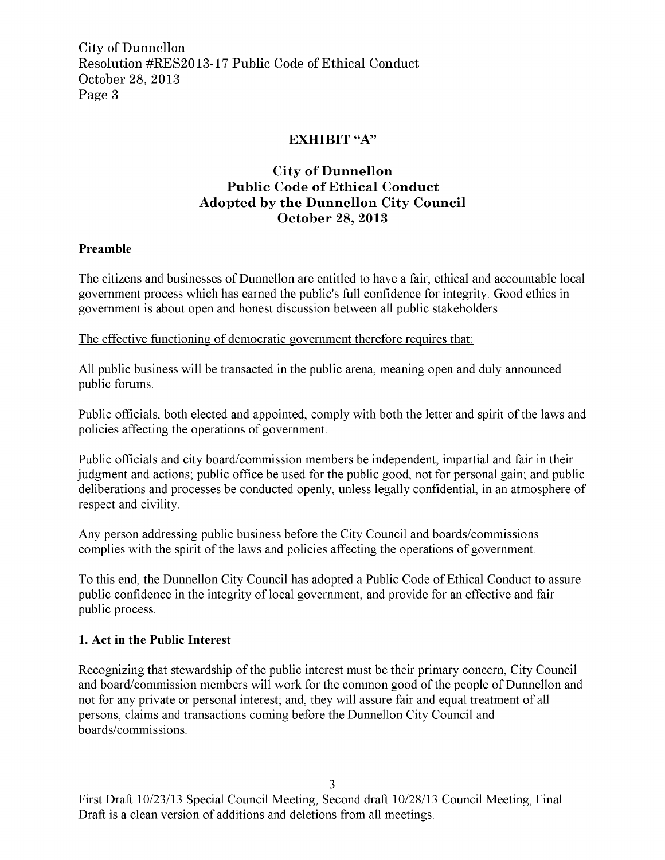## EXHIBIT "A"

# City of Dunnellon Public Code of Ethical Conduct Adopted by the Dunnellon City Council October 28, 2013

### Preamble

The citizens and businesses of Dunnellon are entitled to have a fair, ethical and accountable local government process which has earned the public's full confidence for integrity. Good ethics in government is about open and honest discussion between all public stakeholders

The effective functioning of democratic government therefore requires that

All public business will be transacted in the public arena, meaning open and duly announced public forums

Public officials, both elected and appointed, comply with both the letter and spirit of the laws and policies affecting the operations of government

Public officials and city board/commission members be independent, impartial and fair in their judgment and actions; public office be used for the public good, not for personal gain; and public deliberations and processes be conducted openly, unless legally confidential, in an atmosphere of respect and civility

Any person addressing public business before the City Council and boards/commissions complies with the spirit of the laws and policies affecting the operations of government

To this end, the Dunnellon City Council has adopted a Public Code of Ethical Conduct to assure public confidence in the integrity of local government, and provide for an effective and fair public process

#### 1 Act in the Public Interest

Recognizing that stewardship of the public interest must be their primary concern, City Council and board/commission members will work for the common good of the people of Dunnellon and not for any private or personal interest; and, they will assure fair and equal treatment of all persons claims and transactions coming before the Dunnellon City Council and boards/commissions.

<sup>3</sup><br>First Draft 10/23/13 Special Council Meeting, Second draft 10/28/13 Council Meeting, Final Draft is <sup>a</sup> clean version of additions and deletions from all meetings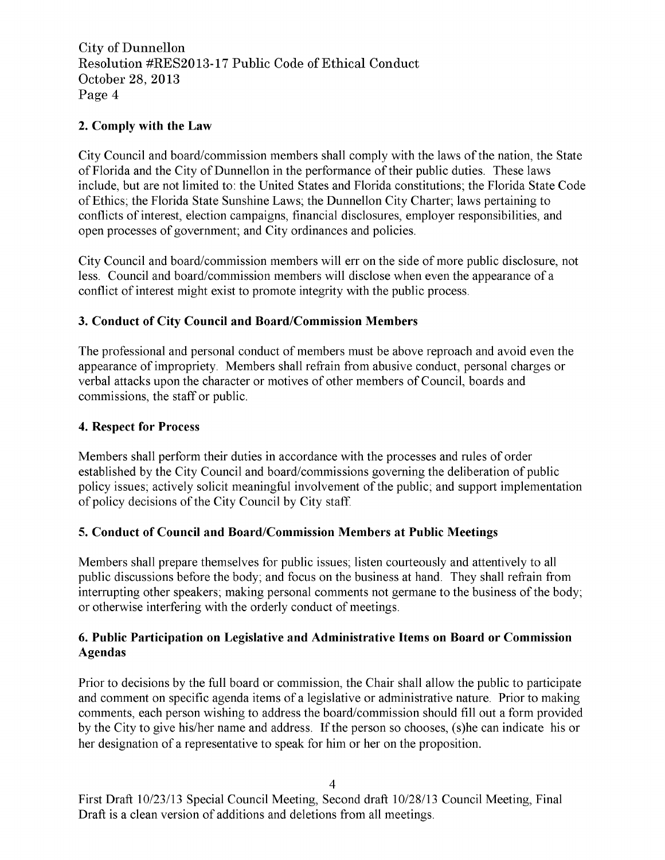## 2. Comply with the Law

City Council and board/commission members shall comply with the laws of the nation, the State of Florida and the City of Dunnellon in the performance of their public duties. These laws include, but are not limited to: the United States and Florida constitutions; the Florida State Code of Ethics; the Florida State Sunshine Laws; the Dunnellon City Charter; laws pertaining to conflicts of interest, election campaigns, financial disclosures, employer responsibilities, and open processes of government; and City ordinances and policies.

City Council and board/commission members will err on the side of more public disclosure, not less. Council and board/commission members will disclose when even the appearance of a conflict of interest might exist to promote integrity with the public process

### 3. Conduct of City Council and Board/Commission Members

The professional and personal conduct of members must be above reproach and avoid even the appearance of impropriety. Members shall refrain from abusive conduct, personal charges or verbal attacks upon the character or motives of other members of Council, boards and commissions, the staff or public.

#### 4. Respect for Process

Members shall perform their duties in accordance with the processes and rules of order established by the City Council and board/commissions governing the deliberation of public policy issues; actively solicit meaningful involvement of the public; and support implementation of policy decisions of the City Council by City staff.

### 5. Conduct of Council and Board/Commission Members at Public Meetings

Members shall prepare themselves for public issues; listen courteously and attentively to all public discussions before the body; and focus on the business at hand. They shall refrain from interrupting other speakers; making personal comments not germane to the business of the body; or otherwise interfering with the orderly conduct of meetings

#### 6 Public Participation on Legislative and Administrative Items on Board or Commission Agendas

Prior to decisions by the full board or commission, the Chair shall allow the public to participate and comment on specific agenda items of a legislative or administrative nature. Prior to making comments, each person wishing to address the board/commission should fill out a form provided and comment on specific agenda items of a legislative or administrative nature. Prior to making<br>comments, each person wishing to address the board/commission should fill out a form provided<br>by the City to give his/her name her designation of <sup>a</sup> representative to speak for him or her on the proposition

First Draft 10/23/13 Special Council Meeting, Second draft 10/28/13 Council Meeting, Final Draft is <sup>a</sup> clean version of additions and deletions from all meetings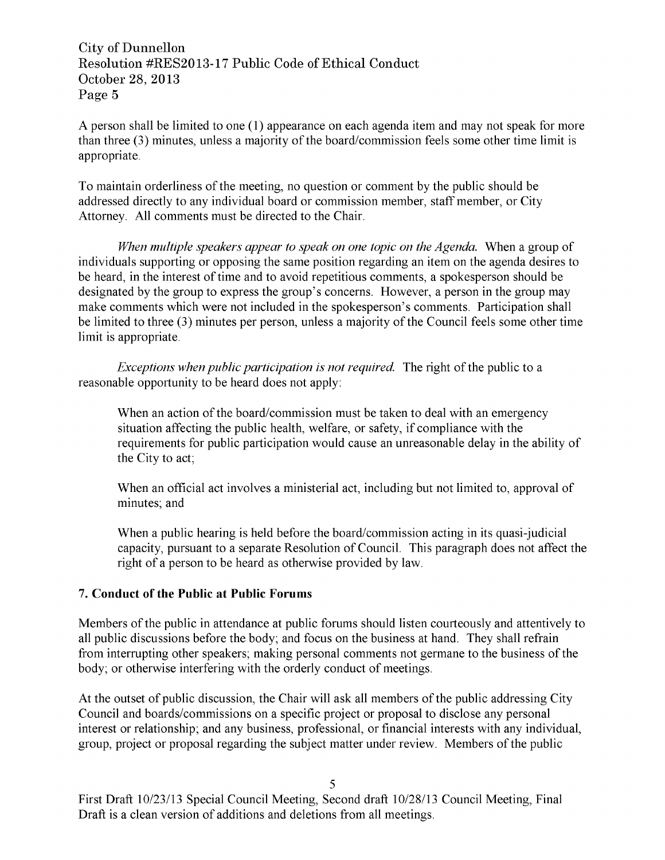A person shall be limited to one  $(1)$  appearance on each agenda item and may not speak for more than three  $(3)$  minutes, unless a majority of the board/commission feels some other time limit is appropriate

To maintain orderliness of the meeting, no question or comment by the public should be addressed directly to any individual board or commission member, staff member, or City Attorney. All comments must be directed to the Chair.

When multiple speakers appear to speak on one topic on the Agenda. When a group of individuals supporting or opposing the same position regarding an item on the agenda desires to be heard, in the interest of time and to avoid repetitious comments, a spokesperson should be designated by the group to express the group's concerns. However, a person in the group may When multiple speakers appear to speak on one topic on the Agenda. When a group of<br>individuals supporting or opposing the same position regarding an item on the agenda desires the<br>be heard, in the interest of time and to a To manual ordermess of the inceling, no question of comment by the public should be<br>addressed directly to any individual board or commission member, staff member, or City<br>Attorney. All comments must be directed to the Chai make comments which were not included in the spokesperson's comments. Participation shall<br>be limited to three (3) minutes per person, unless a majority of the Council feels some other time limit is appropriate

Exceptions when public participation is not required. The right of the public to a reasonable opportunity to be heard does not apply

When an action of the board/commission must be taken to deal with an emergency situation affecting the public health, welfare, or safety, if compliance with the requirements for public participation would cause an unreasonable delay in the ability of the City to act

When an official act involves a ministerial act, including but not limited to, approval of minutes; and

When a public hearing is held before the board/commission acting in its quasi-judicial capacity, pursuant to a separate Resolution of Council. This paragraph does not affect the right of <sup>a</sup> person to be heard as otherwise provided by law

#### 7 Conduct of the Public at Public Forums

Members of the public in attendance at public forums should listen courteously and attentively to all public discussions before the body; and focus on the business at hand. They shall refrain from interrupting other speakers; making personal comments not germane to the business of the body; or otherwise interfering with the orderly conduct of meetings.

At the outset of public discussion, the Chair will ask all members of the public addressing City Council and boards/commissions on a specific project or proposal to disclose any personal interest or relationship; and any business, professional, or financial interests with any individual, group, project or proposal regarding the subject matter under review. Members of the public

<sup>5</sup><br>First Draft 10/23/13 Special Council Meeting, Second draft 10/28/13 Council Meeting, Final Draft is <sup>a</sup> clean version of additions and deletions from all meetings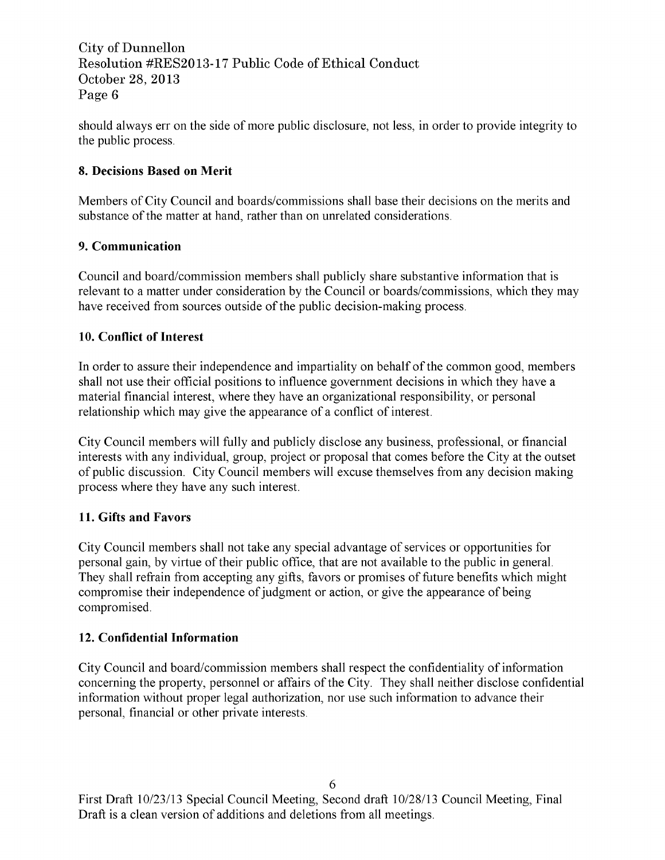should always err on the side of more public disclosure, not less, in order to provide integrity to the public process

## 8. Decisions Based on Merit

Members of City Council and boards/commissions shall base their decisions on the merits and substance of the matter at hand, rather than on unrelated considerations.

## 9. Communication

Council and board/commission members shall publicly share substantive information that is relevant to a matter under consideration by the Council or boards/commissions, which they may have received from sources outside of the public decision-making process.

## 10. Conflict of Interest

In order to assure their independence and impartiality on behalf of the common good, members shall not use their official positions to influence government decisions in which they have <sup>a</sup> material financial interest, where they have an organizational responsibility, or personal relationship which may give the appearance of <sup>a</sup> conflict of interest

City Council members will fully and publicly disclose any business, professional, or financial interests with any individual, group, project or proposal that comes before the City at the outset of public discussion City Council members will excuse themselves from any decision making process where they have any such interest

# 11 Gifts and Favors

City Council members shall not take any special advantage of services or opportunities for personal gain, by virtue of their public office, that are not available to the public in general. They shall refrain from accepting any gifts, favors or promises of future benefits which might compromise their independence of judgment or action, or give the appearance of being compromised

# 12 Confidential Information

City Council and board/commission members shall respect the confidentiality of information concerning the property, personnel or affairs of the City. They shall neither disclose confidential information without proper legal authorization, nor use such information to advance their personal, financial or other private interests.

6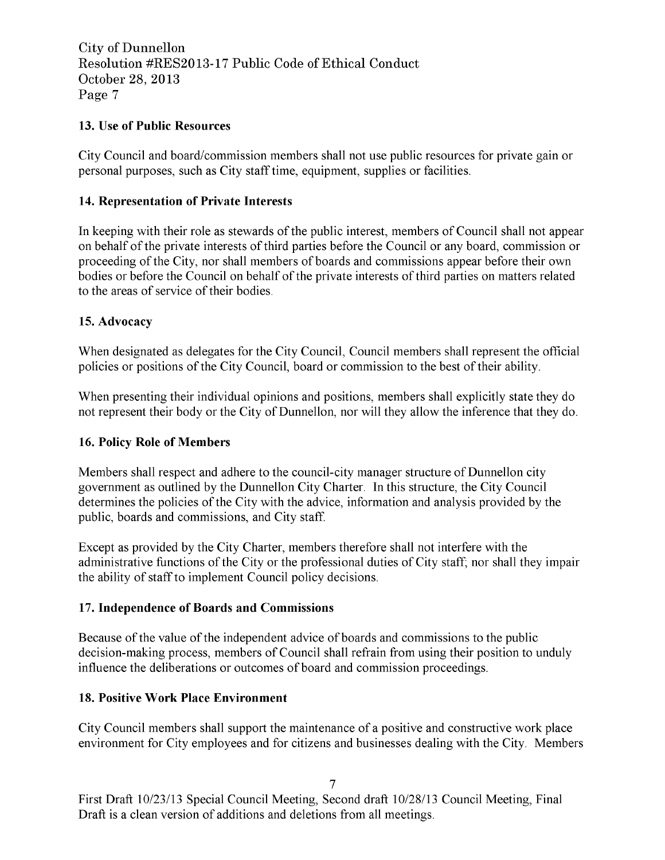## 13. Use of Public Resources

City Council and board/commission members shall not use public resources for private gain or personal purposes, such as City staff time, equipment, supplies or facilities.

## 14 Representation of Private Interests

In keeping with their role as stewards of the public interest, members of Council shall not appear on behalf of the private interests of third parties before the Council or any board, commission or proceeding of the City, nor shall members of boards and commissions appear before their own bodies or before the Council on behalf of the private interests of third parties on matters related to the areas of service of their bodies

## 15. Advocacy

When designated as delegates for the City Council, Council members shall represent the official policies or positions of the City Council, board or commission to the best of their ability.

When presenting their individual opinions and positions, members shall explicitly state they do not represent their body or the City of Dunnellon, nor will they allow the inference that they do.

### 16. Policy Role of Members

Members shall respect and adhere to the council-city manager structure of Dunnellon city government as outlined by the Dunnellon City Charter. In this structure, the City Council determines the policies of the City with the advice, information and analysis provided by the public, boards and commissions, and City staff.

Except as provided by the City Charter, members therefore shall not interfere with the administrative functions of the City or the professional duties of City staff; nor shall they impair the ability of staff to implement Council policy decisions

### 17 Independence of Boards and Commissions

Because of the value of the independent advice of boards and commissions to the public decision-making process, members of Council shall refrain from using their position to unduly influence the deliberations or outcomes of board and commission proceedings

### 18 Positive Work Place Environment

City Council members shall support the maintenance of <sup>a</sup> positive and constructive work place environment for City employees and for citizens and businesses dealing with the City. Members

First Draft 10/23/13 Special Council Meeting, Second draft 10/28/13 Council Meeting, Final Draft is <sup>a</sup> clean version of additions and deletions from all meetings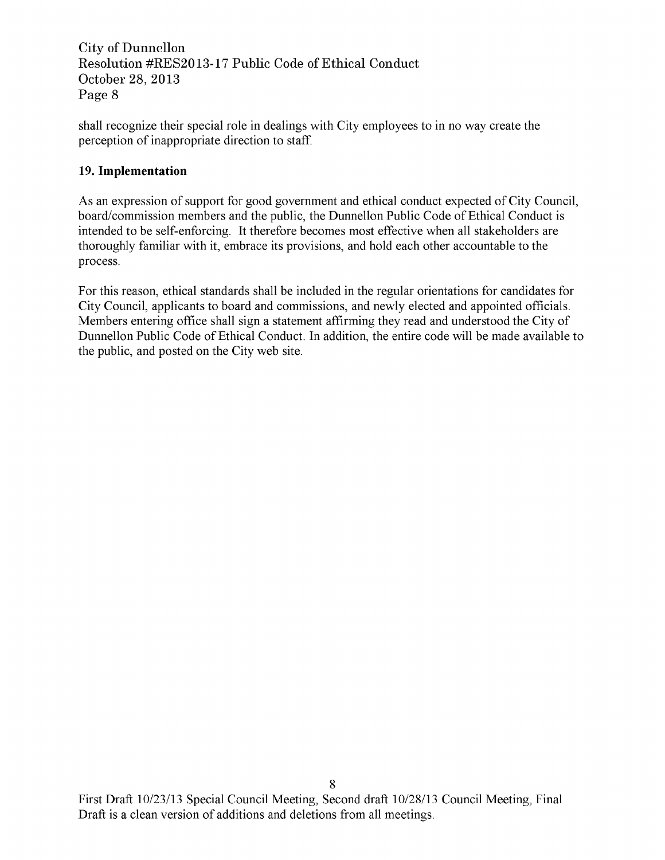shall recognize their special role in dealings with City employees to in no way create the perception of inappropriate direction to staff

## 19. Implementation

As an expression of support for good government and ethical conduct expected of City Council board/commission members and the public, the Dunnellon Public Code of Ethical Conduct is intended to be self-enforcing. It therefore becomes most effective when all stakeholders are thoroughly familiar with it, embrace its provisions, and hold each other accountable to the process

For this reason ethical standards shall be included in the regular orientations for candidates for City Council, applicants to board and commissions, and newly elected and appointed officials. Members entering office shall sign <sup>a</sup> statement affirming they read and understood the City of Dunnellon Public Code of Ethical Conduct. In addition, the entire code will be made available to the public, and posted on the City web site.